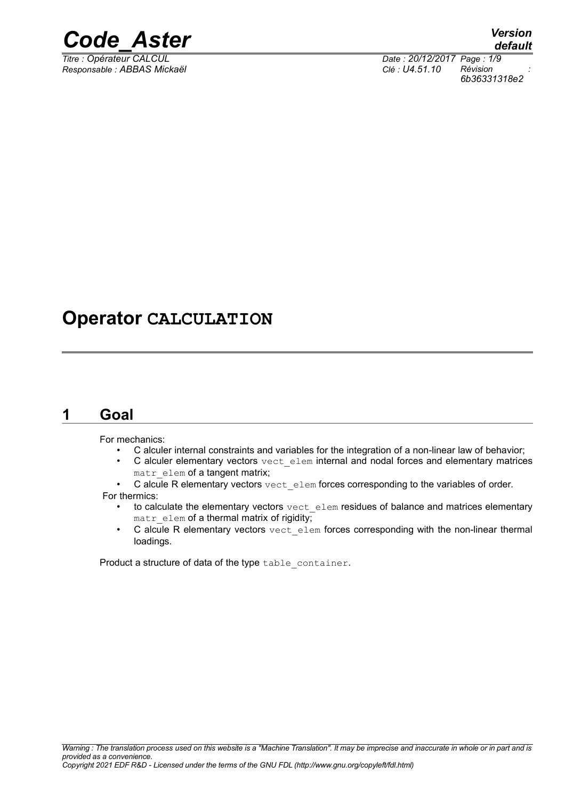

*Responsable : ABBAS Mickaël Clé : U4.51.10 Révision :*

*Titre : Opérateur CALCUL Date : 20/12/2017 Page : 1/9 6b36331318e2*

## **Operator CALCULATION**

## **1 Goal**

For mechanics:

- C alculer internal constraints and variables for the integration of a non-linear law of behavior;
- C alculer elementary vectors vect elem internal and nodal forces and elementary matrices matr elem of a tangent matrix;
- C alcule R elementary vectors  $\text{vect}-\text{elem}$  forces corresponding to the variables of order.

For thermics:

- to calculate the elementary vectors vect elem residues of balance and matrices elementary matr elem of a thermal matrix of rigidity;
- C alcule R elementary vectors vect elem forces corresponding with the non-linear thermal loadings.

Product a structure of data of the type table container.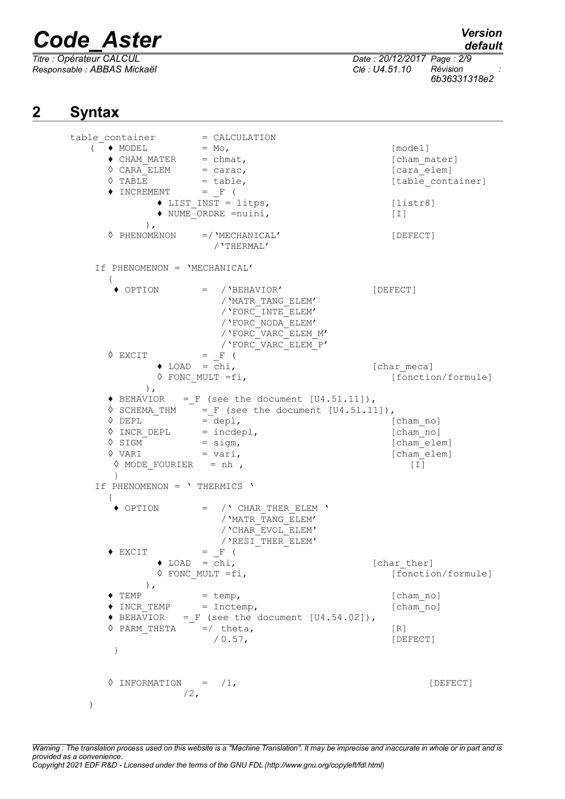*Responsable : ABBAS Mickaël Clé : U4.51.10 Révision :*

## *default*

*Titre : Opérateur CALCUL Date : 20/12/2017 Page : 2/9 6b36331318e2*

## **2 Syntax**

table container = CALCULATION  $($   $\bullet$  MODEL  $=$  Mo, ◆ CHAM\_MATER = chmat, letter and set all the set all the set all the set all the set all the set all the set all the set all the set all the set all the set all the set all the set all the set all the set all the set all ◆ CHAM\_MATER = chmat,<br>
◇ CARA\_ELEM = carac,  $(card$ <br>
◇ TABLE = table, [cara\_elem] [table cont  $=$  table,  $[$ table container]  $\blacklozenge$  INCREMENT = F (  $\blacklozenge$  LIST INST = litps,  $[listr8]$  $\bullet$  NUME<sup> $\overline{\phantom{a}}$ </sup>ORDRE =nuini,  $[1]$ ),<br>  $\Diamond$  PHENOMENON  $=$ /'MECHANICAL' [DEFECT] /'THERMAL' If PHENOMENON = 'MECHANICAL' { **♦** OPTION = /'BEHAVIOR' [DEFECT] /'MATR\_TANG\_ELEM' /'FORC\_INTE\_ELEM' /'FORC\_NODA\_ELEM' /'FORC\_VARC\_ELEM\_M' /'FORC\_VARC\_ELEM\_P' **◊** EXCIT = \_F ( ◆ LOAD = chi,<br>
◆ FONC MULT =fi, [char\_meca] [fonction/formule] ),  $\blacklozenge$  BEHAVIOR = F (see the document  $[U4.51.11]$ ),  $\sqrt{6}$  SCHEMA\_THM  $=$   $F$  (see the document [U4.51.11]),  $\sqrt{DEPL}$  = depl, [cham no] ◊ INCR\_DEPL = incdepl, [cham\_no]  $\sqrt{8}$  SIGM = sigm,  $\left[\text{cham\_elem}\right]$  $\sqrt[6]{ \text{VARI}}$  = vari,  $[\text{cham-elem}]$  $\Diamond$  MODE FOURIER = nh ,  $[1]$  } If PHENOMENON = ' THERMICS ' { **♦** OPTION = /' CHAR\_THER\_ELEM ' /'MATR\_TANG\_ELEM' /'CHAR\_EVOL\_ELEM' /'RESI\_THER\_ELEM'  $\triangle$  EXCIT = F ( **♦** LOAD = chi, [char\_ther] ◊ FONC\_MULT =fi, [fonction/formule]  $\ensuremath{\mathsf{y}}$  ) , <br> <br> <br> <br> <br> TEMP  $=$  temp, [cham\_no] ◆ INCR TEMP = Inctemp, [cham\_no]  $\blacklozenge$  BEHAVIOR = F (see the document  $[U4.54.02]$ ),  $\Diamond$  PARM\_THETA =/ theta,  $[R]$  / 0.57, [DEFECT] }  $\Diamond$  INFORMATION =  $/1$ , [DEFECT]  $/2$ , )

*Warning : The translation process used on this website is a "Machine Translation". It may be imprecise and inaccurate in whole or in part and is provided as a convenience. Copyright 2021 EDF R&D - Licensed under the terms of the GNU FDL (http://www.gnu.org/copyleft/fdl.html)*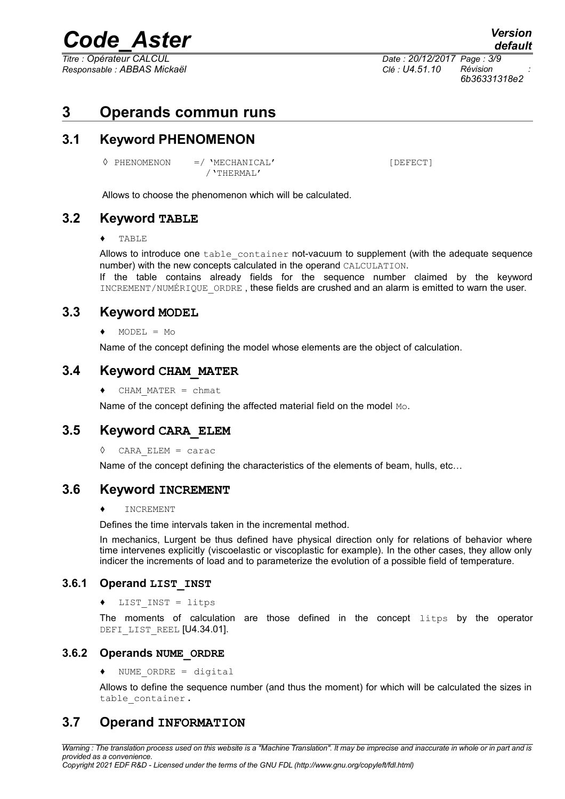*Titre : Opérateur CALCUL Date : 20/12/2017 Page : 3/9 Responsable : ABBAS Mickaël Clé : U4.51.10 Révision :*

*6b36331318e2*

## **3 Operands commun runs**

## **3.1 Keyword PHENOMENON**

◊ PHENOMENON =/ 'MECHANICAL' [DEFECT] /'THERMAL'

Allows to choose the phenomenon which will be calculated.

## **3.2 Keyword TABLE**

#### ♦ TABLE

Allows to introduce one table container not-vacuum to supplement (with the adequate sequence number) with the new concepts calculated in the operand CALCULATION.

If the table contains already fields for the sequence number claimed by the keyword INCREMENT/NUMÉRIQUE ORDRE, these fields are crushed and an alarm is emitted to warn the user.

### **3.3 Keyword MODEL**

#### **♦** MODEL = Mo

Name of the concept defining the model whose elements are the object of calculation.

### **3.4 Keyword CHAM\_MATER**

**♦** CHAM\_MATER = chmat

Name of the concept defining the affected material field on the model Mo.

## **3.5 Keyword CARA\_ELEM**

◊ CARA\_ELEM = carac

Name of the concept defining the characteristics of the elements of beam, hulls, etc…

### **3.6 Keyword INCREMENT**

#### **INCREMENT**

Defines the time intervals taken in the incremental method.

In mechanics, Lurgent be thus defined have physical direction only for relations of behavior where time intervenes explicitly (viscoelastic or viscoplastic for example). In the other cases, they allow only indicer the increments of load and to parameterize the evolution of a possible field of temperature.

#### **3.6.1 Operand LIST\_INST**

♦ LIST\_INST = litps

The moments of calculation are those defined in the concept litps by the operator DEFI LIST REEL [U4.34.01].

#### **3.6.2 Operands NUME\_ORDRE**

 $\bullet$  NUME ORDRE = digital

Allows to define the sequence number (and thus the moment) for which will be calculated the sizes in table\_container **.**

## **3.7 Operand INFORMATION**

*Warning : The translation process used on this website is a "Machine Translation". It may be imprecise and inaccurate in whole or in part and is provided as a convenience.*

*Copyright 2021 EDF R&D - Licensed under the terms of the GNU FDL (http://www.gnu.org/copyleft/fdl.html)*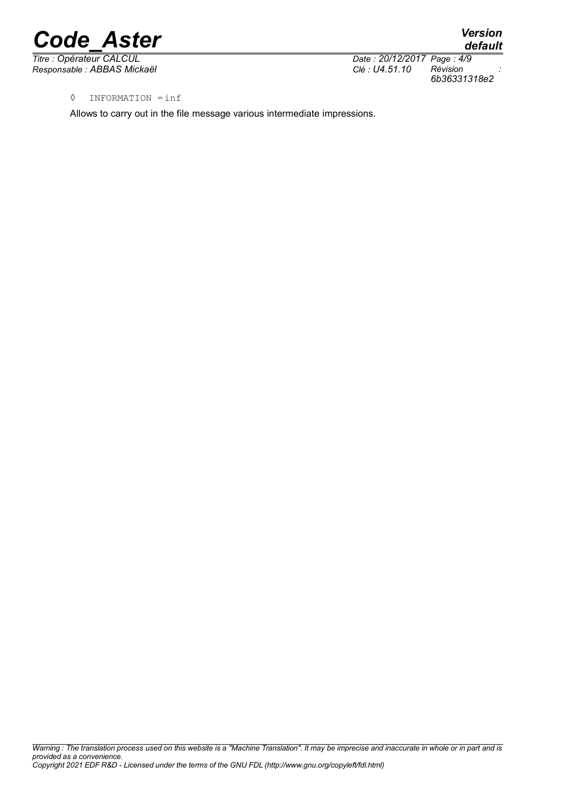*Responsable : ABBAS Mickaël Clé : U4.51.10 Révision :*

*Titre : Opérateur CALCUL Date : 20/12/2017 Page : 4/9 6b36331318e2*

*default*

◊ INFORMATION =inf

Allows to carry out in the file message various intermediate impressions.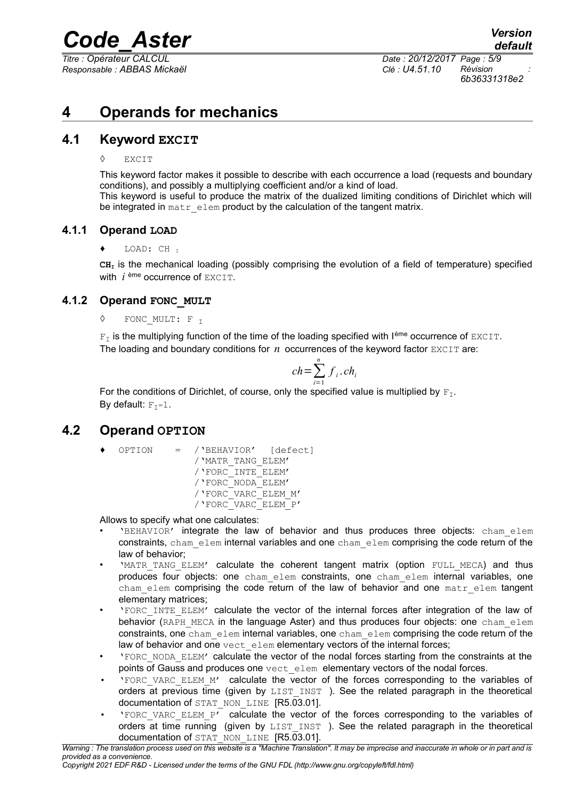*Responsable : ABBAS Mickaël Clé : U4.51.10 Révision :*

*Titre : Opérateur CALCUL Date : 20/12/2017 Page : 5/9 6b36331318e2*

## **4 Operands for mechanics**

## **4.1 Keyword EXCIT**

#### ◊ EXCIT

This keyword factor makes it possible to describe with each occurrence a load (requests and boundary conditions), and possibly a multiplying coefficient and/or a kind of load. This keyword is useful to produce the matrix of the dualized limiting conditions of Dirichlet which will

### **4.1.1 Operand LOAD**

#### LOAD: CH <sub>I</sub>

 $CH<sub>I</sub>$  is the mechanical loading (possibly comprising the evolution of a field of temperature) specified with *i* ème occurrence of EXCIT.

### **4.1.2 Operand FONC\_MULT**

**◊** FONC\_MULT: F <sup>I</sup>

 $F<sub>T</sub>$  is the multiplying function of the time of the loading specified with I<sup>ème</sup> occurrence of EXCIT. The loading and boundary conditions for  $n$  occurrences of the keyword factor  $EXCIT$  are:

$$
ch = \sum_{i=1}^{n} f_i \cdot ch_i
$$

For the conditions of Dirichlet, of course, only the specified value is multiplied by  $F_T$ . By default:  $F_T=1$ .

be integrated in matr  $\epsilon$  elem product by the calculation of the tangent matrix.

## **4.2 Operand OPTION**

**♦** OPTION = /'BEHAVIOR' [defect] /'MATR\_TANG\_ELEM' /'FORC\_INTE\_ELEM' /'FORC\_NODA\_ELEM' /'FORC\_VARC\_ELEM\_M' /'FORC\_VARC\_ELEM\_P'

Allows to specify what one calculates:

- 'BEHAVIOR' integrate the law of behavior and thus produces three objects: cham\_elem constraints, cham elem internal variables and one cham elem comprising the code return of the law of behavior;
- **MATR TANG ELEM'** calculate the coherent tangent matrix (option FULL MECA) and thus produces four objects: one cham\_elem constraints, one cham\_elem internal variables, one  $cham$  elem comprising the code return of the law of behavior and one  $matr$  elem tangent elementary matrices;
- 'FORC\_INTE\_ELEM' calculate the vector of the internal forces after integration of the law of behavior (RAPH\_MECA in the language Aster) and thus produces four objects: one cham elem constraints, one cham elem internal variables, one chamelem comprising the code return of the law of behavior and one  $\text{vect}$  elem elementary vectors of the internal forces;
- 'FORC\_NODA\_ELEM' calculate the vector of the nodal forces starting from the constraints at the points of Gauss and produces one vect elem elementary vectors of the nodal forces.
- 'FORC\_VARC\_ELEM\_M' calculate the vector of the forces corresponding to the variables of orders at previous time (given by  $LIST \text{INT}$ ). See the related paragraph in the theoretical documentation of STAT\_NON\_LINE [R5.03.01].
- 'FORC\_VARC\_ELEM\_P' calculate the vector of the forces corresponding to the variables of orders at time running (given by LIST INST). See the related paragraph in the theoretical documentation of STAT\_NON\_LINE [R5.03.01].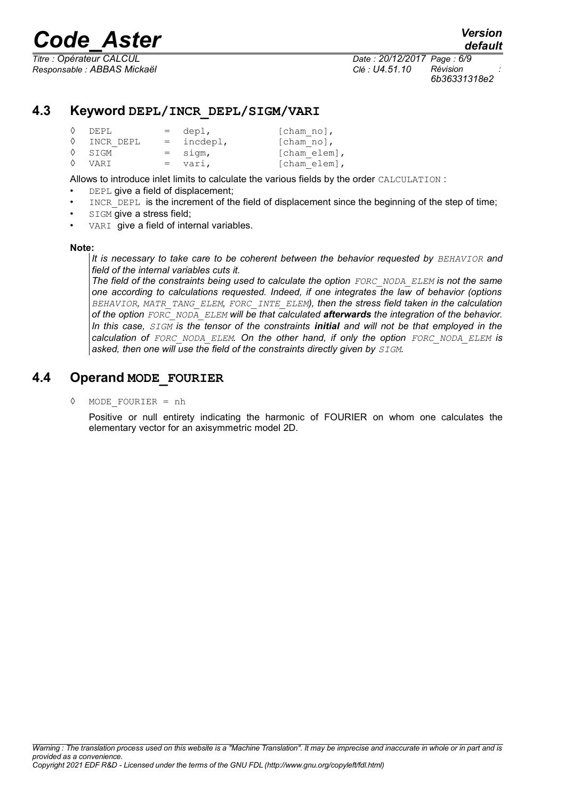*6b36331318e2*

## **4.3 Keyword DEPL/INCR\_DEPL/SIGM/VARI**

| $\Diamond$ DEPL      | $=$ depl,    | $[char no]$ ,                    |
|----------------------|--------------|----------------------------------|
| $\Diamond$ INCR DEPL | $=$ incdepl, | $\lceil \text{cham no} \rceil$ , |
| $\Diamond$ SIGM      | $=$ sigm,    | [cham elem],                     |
| $\Diamond$ VART      | $= vari,$    | $[cham elem]$ ,                  |

Allows to introduce inlet limits to calculate the various fields by the order CALCULATION :

- DEPL give a field of displacement;
- INCR DEPL is the increment of the field of displacement since the beginning of the step of time;
- **SIGM** give a stress field;
- VARI give a field of internal variables.

#### **Note:**

*It is necessary to take care to be coherent between the behavior requested by <i>BEHAVIOR* and *field of the internal variables cuts it.*

*The field of the constraints being used to calculate the option FORC\_NODA\_ELEM is not the same one according to calculations requested. Indeed, if one integrates the law of behavior (options BEHAVIOR, MATR\_TANG\_ELEM, FORC\_INTE\_ELEM), then the stress field taken in the calculation of the option FORC\_NODA\_ELEM will be that calculated afterwards the integration of the behavior. In this case, SIGM is the tensor of the constraints initial and will not be that employed in the calculation of FORC\_NODA\_ELEM. On the other hand, if only the option FORC\_NODA\_ELEM is asked, then one will use the field of the constraints directly given by SIGM.*

## **4.4 Operand MODE\_FOURIER**

◊ MODE\_FOURIER = nh

Positive or null entirety indicating the harmonic of FOURIER on whom one calculates the elementary vector for an axisymmetric model 2D.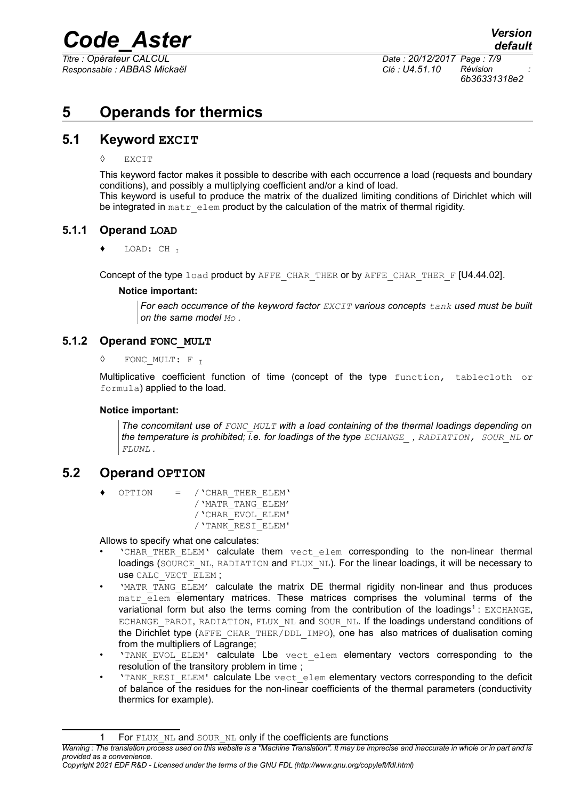*Responsable : ABBAS Mickaël Clé : U4.51.10 Révision :*

*Titre : Opérateur CALCUL Date : 20/12/2017 Page : 7/9 6b36331318e2*

## **5 Operands for thermics**

## **5.1 Keyword EXCIT**

#### ◊ EXCIT

This keyword factor makes it possible to describe with each occurrence a load (requests and boundary conditions), and possibly a multiplying coefficient and/or a kind of load. This keyword is useful to produce the matrix of the dualized limiting conditions of Dirichlet which will be integrated in matr elem product by the calculation of the matrix of thermal rigidity.

### **5.1.1 Operand LOAD**

LOAD: CH I

Concept of the type load product by AFFE\_CHAR\_THER or by AFFE\_CHAR\_THER\_F [U4.44.02].

#### **Notice important:**

*For each occurrence of the keyword factor EXCIT various concepts tank used must be built on the same model Mo .*

### **5.1.2 Operand FONC\_MULT**

**◊** FONC\_MULT: F <sup>I</sup>

Multiplicative coefficient function of time (concept of the type function, tablecloth or formula) applied to the load.

#### **Notice important:**

*The concomitant use of FONC\_MULT with a load containing of the thermal loadings depending on the temperature is prohibited; i.e. for loadings of the type ECHANGE\_ , RADIATION, SOUR\_NL or FLUNL .*

## **5.2 Operand OPTION**

**♦** OPTION = /'CHAR\_THER\_ELEM' /'MATR\_TANG\_ELEM' /'CHAR\_EVOL\_ELEM' /'TANK\_RESI\_ELEM'

Allows to specify what one calculates:

- 'CHAR THER ELEM' calculate them vect elem corresponding to the non-linear thermal loadings (SOURCE\_NL, RADIATION and FLUX\_NL). For the linear loadings, it will be necessary to use CALC\_VECT\_ELEM ;
- 'MATR\_TANG\_ELEM' calculate the matrix DE thermal rigidity non-linear and thus produces matr elem elementary matrices. These matrices comprises the voluminal terms of the variational form but also the terms coming from the contribution of the loadings<sup>[1](#page-6-0)</sup>: EXCHANGE, ECHANGE PAROI, RADIATION, FLUX NL and SOUR NL. If the loadings understand conditions of the Dirichlet type (AFFE\_CHAR\_THER/DDL\_IMPO), one has also matrices of dualisation coming from the multipliers of Lagrange:
- 'TANK EVOL ELEM' calculate Lbe vect elem elementary vectors corresponding to the resolution of the transitory problem in time ;
- 'TANK\_RESI\_ELEM' calculate Lbe vect\_elem elementary vectors corresponding to the deficit of balance of the residues for the non-linear coefficients of the thermal parameters (conductivity thermics for example).

<span id="page-6-0"></span><sup>1</sup> For FLUX NL and SOUR NL only if the coefficients are functions

*Warning : The translation process used on this website is a "Machine Translation". It may be imprecise and inaccurate in whole or in part and is provided as a convenience.*

*Copyright 2021 EDF R&D - Licensed under the terms of the GNU FDL (http://www.gnu.org/copyleft/fdl.html)*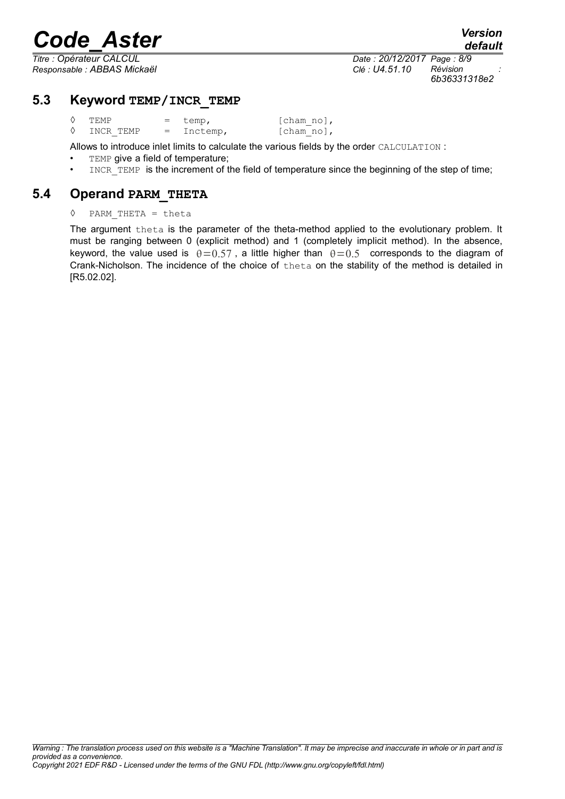*Responsable : ABBAS Mickaël Clé : U4.51.10 Révision :*

*Titre : Opérateur CALCUL Date : 20/12/2017 Page : 8/9 6b36331318e2*

## **5.3 Keyword TEMP/INCR\_TEMP**

| <b>TEMP</b> | $=$ temp,    | $\lceil \text{cham no} \rceil$ , |
|-------------|--------------|----------------------------------|
| INCR TEMP   | $=$ Inctemp, | $[charno]$ ,                     |

Allows to introduce inlet limits to calculate the various fields by the order CALCULATION :

TEMP give a field of temperature;

INCR TEMP is the increment of the field of temperature since the beginning of the step of time;

### **5.4 Operand PARM\_THETA**

#### ◊ PARM\_THETA = theta

The argument theta is the parameter of the theta-method applied to the evolutionary problem. It must be ranging between 0 (explicit method) and 1 (completely implicit method). In the absence, keyword, the value used is  $\theta = 0.57$ , a little higher than  $\theta = 0.5$  corresponds to the diagram of Crank-Nicholson. The incidence of the choice of theta on the stability of the method is detailed in [R5.02.02].

*default*